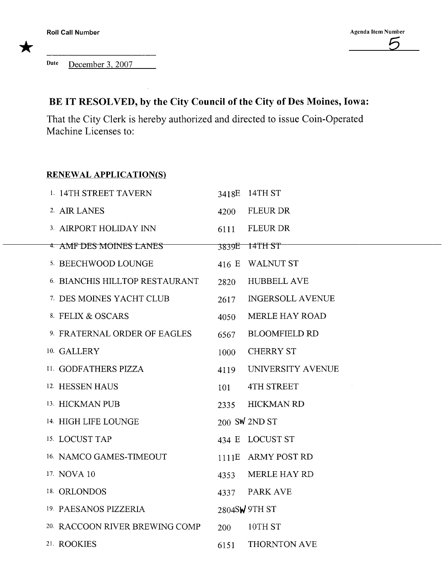Date December 3,2007

## BE IT RESOLVED, by the City Council of the City of Des Moines, Iowa:

That the City Clerk is hereby authorized and directed to issue Coin-Operated Machine Licenses to:

## RENEWAL APPLICATION(S)

| 1. 14TH STREET TAVERN                |      | 3418E 14TH ST           |
|--------------------------------------|------|-------------------------|
| 2. AIR LANES                         | 4200 | <b>FLEUR DR</b>         |
| 3. AIRPORT HOLIDAY INN               | 6111 | <b>FLEUR DR</b>         |
| <sup>4</sup> AMF DES MOINES LANES    |      | 3839E 14TH ST           |
| 5. BEECHWOOD LOUNGE                  |      | 416 E WALNUT ST         |
| <b>6 BIANCHIS HILLTOP RESTAURANT</b> | 2820 | <b>HUBBELL AVE</b>      |
| 7. DES MOINES YACHT CLUB             | 2617 | <b>INGERSOLL AVENUE</b> |
| 8. FELIX & OSCARS                    | 4050 | <b>MERLE HAY ROAD</b>   |
| 9. FRATERNAL ORDER OF EAGLES         | 6567 | <b>BLOOMFIELD RD</b>    |
| 10. GALLERY                          | 1000 | <b>CHERRY ST</b>        |
| 11. GODFATHERS PIZZA                 | 4119 | UNIVERSITY AVENUE       |
| 12. HESSEN HAUS                      | 101  | 4TH STREET              |
| 13. HICKMAN PUB                      | 2335 | <b>HICKMAN RD</b>       |
| 14. HIGH LIFE LOUNGE                 |      | 200 SW 2ND ST           |
| 15. LOCUST TAP                       |      | 434 E LOCUST ST         |
| 16. NAMCO GAMES-TIMEOUT              |      | 1111E ARMY POST RD      |
| 17. NOVA 10                          | 4353 | <b>MERLE HAY RD</b>     |
| 18. ORLONDOS                         | 4337 | <b>PARK AVE</b>         |
| 19. PAESANOS PIZZERIA                |      | 2804SW 9TH ST           |
| 20. RACCOON RIVER BREWING COMP       | 200  | 10TH ST                 |
| 21. ROOKIES                          | 6151 | THORNTON AVE            |